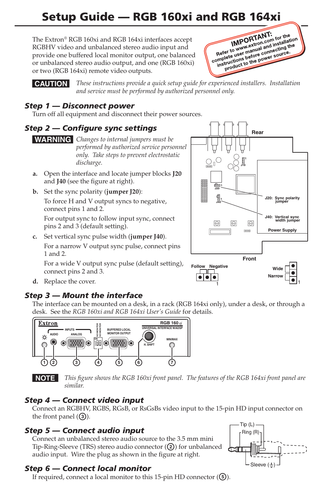# Setup Guide — RGB 160xi and RGB 164xi

The Extron® RGB 160xi and RGB 164xi interfaces accept RGBHV video and unbalanced stereo audio input and provide one buffered local monitor output, one balanced or unbalanced stereo audio output, and one (RGB 160xi) or two (RGB 164xi) remote video outputs.



C *These instructions provide a quick setup guide for experienced installers. Installation and service must be performed by authorized personnel only.*

### *Step 1 — Disconnect power*

Turn off all equipment and disconnect their power sources.

### *Step 2 — Configure sync settings*

#### **WARNING** Changes to internal jumpers must be *performed by authorized service personnel only. Take steps to prevent electrostatic discharge.*

- **a.**  Open the interface and locate jumper blocks **J20** and **J40** (see the figure at right).
- **b.**  Set the sync polarity (**jumper J20**): To force H and V output syncs to negative, connect pins 1 and 2.

For output sync to follow input sync, connect pins 2 and 3 (default setting).

**c.**  Set vertical sync pulse width (**jumper J40**). For a narrow V output sync pulse, connect pins 1 and 2.

For a wide V output sync pulse (default setting), connect pins 2 and 3.



d. Replace the cover.

### *Step 3 — Mount the interface*

The interface can be mounted on a desk, in a rack (RGB 164xi only), under a desk, or through a desk. See the *RGB 160xi and RGB 164xi User's Guide* for details.



N *This figure shows the RGB 160xi front panel. The features of the RGB 164xi front panel are similar.*

### *Step 4 — Connect video input*

Connect an RGBHV, RGBS, RGsB, or RsGsBs video input to the 15-pin HD input connector on the front panel  $(3)$ .

### *Step 5 — Connect audio input*

Connect an unbalanced stereo audio source to the 3.5 mm mini Tip-Ring-Sleeve (TRS) stereo audio connector  $(Q)$ ) for unbalanced audio input. Wire the plug as shown in the figure at right.



### *Step 6 — Connect local monitor*

If required, connect a local monitor to this 15-pin HD connector  $(\mathbf{G})$ .